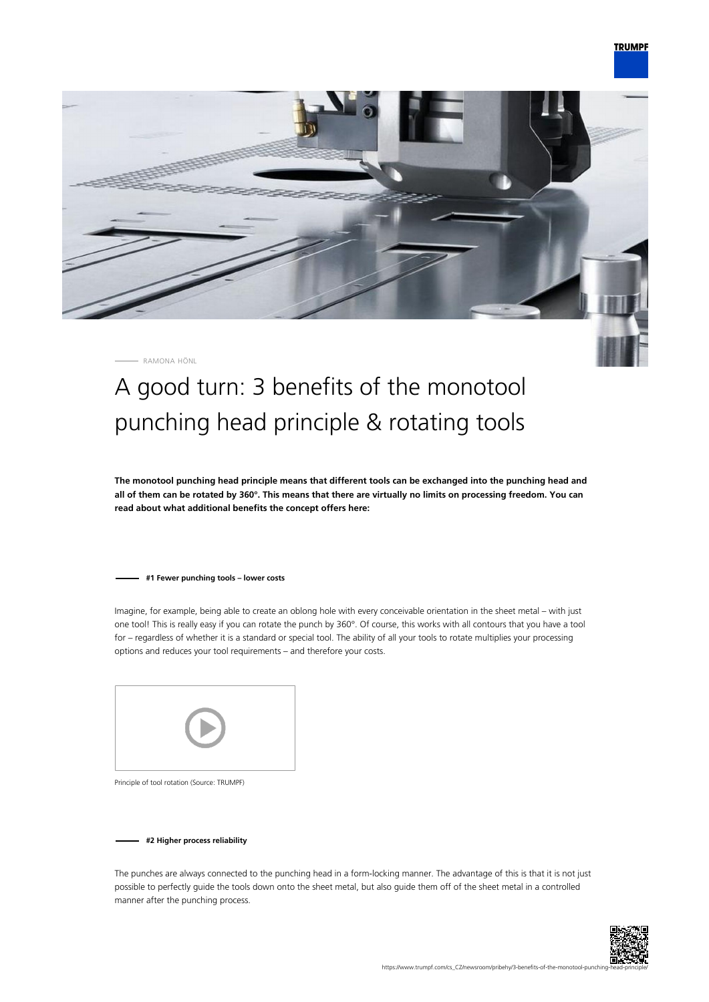

RAMONA HÖNL

## A good turn: 3 benefits of the monotool punching head principle & rotating tools

**The monotool punching head principle means that different tools can be exchanged into the punching head and all of them can be rotated by 360°. This means that there are virtually no limits on processing freedom. You can read about what additional benefits the concept offers here:**

## **#1 Fewer punching tools – lower costs**

Imagine, for example, being able to create an oblong hole with every conceivable orientation in the sheet metal – with just one tool! This is really easy if you can rotate the punch by 360°. Of course, this works with all contours that you have a tool for – regardless of whether it is a standard or special tool. The ability of all your tools to rotate multiplies your processing options and reduces your tool requirements – and therefore your costs.



Principle of tool rotation (Source: TRUMPF)

**#2 Higher process reliability**

The punches are always connected to the punching head in a form-locking manner. The advantage of this is that it is not just possible to perfectly guide the tools down onto the sheet metal, but also guide them off of the sheet metal in a controlled manner after the punching process.